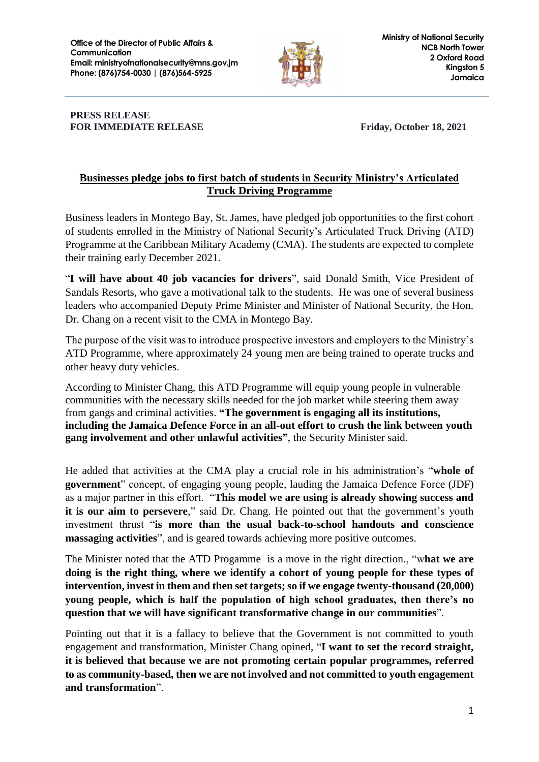

## **PRESS RELEASE FOR IMMEDIATE RELEASE FRIDAY, October 18, 2021**

## **Businesses pledge jobs to first batch of students in Security Ministry's Articulated Truck Driving Programme**

Business leaders in Montego Bay, St. James, have pledged job opportunities to the first cohort of students enrolled in the Ministry of National Security's Articulated Truck Driving (ATD) Programme at the Caribbean Military Academy (CMA). The students are expected to complete their training early December 2021.

"**I will have about 40 job vacancies for drivers**", said Donald Smith, Vice President of Sandals Resorts, who gave a motivational talk to the students. He was one of several business leaders who accompanied Deputy Prime Minister and Minister of National Security, the Hon. Dr. Chang on a recent visit to the CMA in Montego Bay.

The purpose of the visit was to introduce prospective investors and employers to the Ministry's ATD Programme, where approximately 24 young men are being trained to operate trucks and other heavy duty vehicles.

According to Minister Chang, this ATD Programme will equip young people in vulnerable communities with the necessary skills needed for the job market while steering them away from gangs and criminal activities. **"The government is engaging all its institutions, including the Jamaica Defence Force in an all-out effort to crush the link between youth gang involvement and other unlawful activities"**, the Security Minister said.

He added that activities at the CMA play a crucial role in his administration's "**whole of government**" concept, of engaging young people, lauding the Jamaica Defence Force (JDF) as a major partner in this effort. "**This model we are using is already showing success and it is our aim to persevere**," said Dr. Chang. He pointed out that the government's youth investment thrust "**is more than the usual back-to-school handouts and conscience massaging activities**", and is geared towards achieving more positive outcomes.

The Minister noted that the ATD Progamme is a move in the right direction., "w**hat we are doing is the right thing, where we identify a cohort of young people for these types of intervention, invest in them and then set targets; so if we engage twenty-thousand (20,000) young people, which is half the population of high school graduates, then there's no question that we will have significant transformative change in our communities**".

Pointing out that it is a fallacy to believe that the Government is not committed to youth engagement and transformation, Minister Chang opined, "**I want to set the record straight, it is believed that because we are not promoting certain popular programmes, referred to as community-based, then we are not involved and not committed to youth engagement and transformation**".